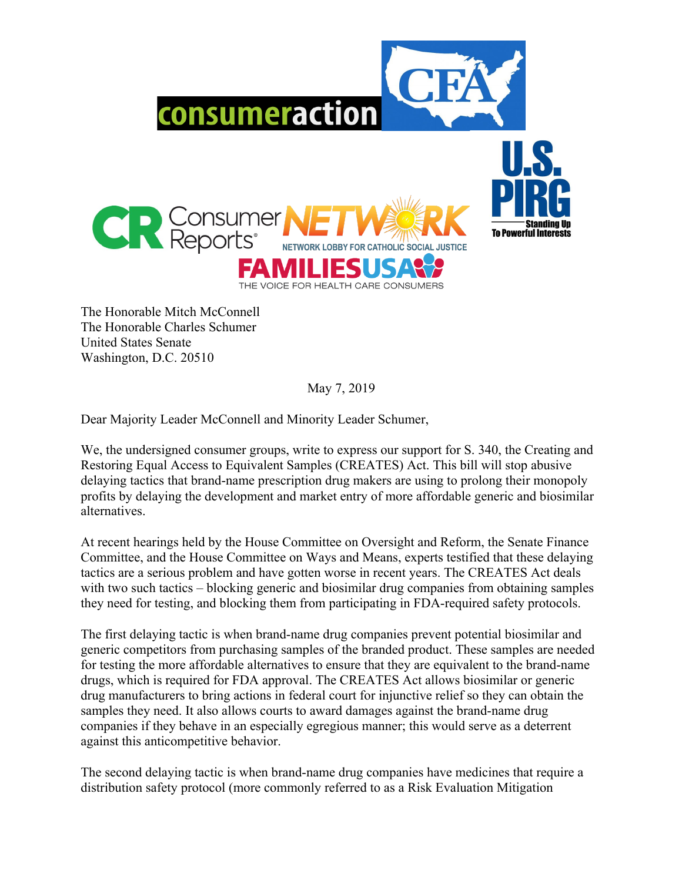

The Honorable Mitch McConnell The Honorable Charles Schumer United States Senate Washington, D.C. 20510

May 7, 2019

Dear Majority Leader McConnell and Minority Leader Schumer,

We, the undersigned consumer groups, write to express our support for S. 340, the Creating and Restoring Equal Access to Equivalent Samples (CREATES) Act. This bill will stop abusive delaying tactics that brand-name prescription drug makers are using to prolong their monopoly profits by delaying the development and market entry of more affordable generic and biosimilar alternatives.

At recent hearings held by the House Committee on Oversight and Reform, the Senate Finance Committee, and the House Committee on Ways and Means, experts testified that these delaying tactics are a serious problem and have gotten worse in recent years. The CREATES Act deals with two such tactics – blocking generic and biosimilar drug companies from obtaining samples they need for testing, and blocking them from participating in FDA-required safety protocols.

The first delaying tactic is when brand-name drug companies prevent potential biosimilar and generic competitors from purchasing samples of the branded product. These samples are needed for testing the more affordable alternatives to ensure that they are equivalent to the brand-name drugs, which is required for FDA approval. The CREATES Act allows biosimilar or generic drug manufacturers to bring actions in federal court for injunctive relief so they can obtain the samples they need. It also allows courts to award damages against the brand-name drug companies if they behave in an especially egregious manner; this would serve as a deterrent against this anticompetitive behavior.

The second delaying tactic is when brand-name drug companies have medicines that require a distribution safety protocol (more commonly referred to as a Risk Evaluation Mitigation